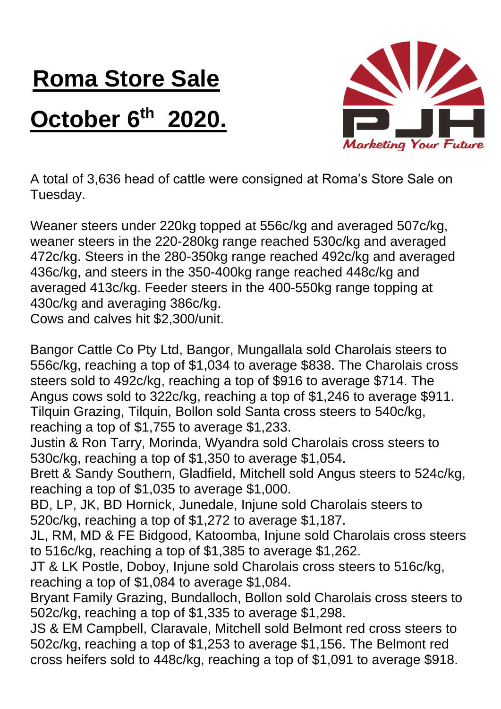## **Roma Store Sale**

## **October 6th 2020.**



A total of 3,636 head of cattle were consigned at Roma's Store Sale on Tuesday.

Weaner steers under 220kg topped at 556c/kg and averaged 507c/kg, weaner steers in the 220-280kg range reached 530c/kg and averaged 472c/kg. Steers in the 280-350kg range reached 492c/kg and averaged 436c/kg, and steers in the 350-400kg range reached 448c/kg and averaged 413c/kg. Feeder steers in the 400-550kg range topping at 430c/kg and averaging 386c/kg.

Cows and calves hit \$2,300/unit.

Bangor Cattle Co Pty Ltd, Bangor, Mungallala sold Charolais steers to 556c/kg, reaching a top of \$1,034 to average \$838. The Charolais cross steers sold to 492c/kg, reaching a top of \$916 to average \$714. The Angus cows sold to 322c/kg, reaching a top of \$1,246 to average \$911. Tilquin Grazing, Tilquin, Bollon sold Santa cross steers to 540c/kg, reaching a top of \$1,755 to average \$1,233.

Justin & Ron Tarry, Morinda, Wyandra sold Charolais cross steers to 530c/kg, reaching a top of \$1,350 to average \$1,054.

Brett & Sandy Southern, Gladfield, Mitchell sold Angus steers to 524c/kg, reaching a top of \$1,035 to average \$1,000.

BD, LP, JK, BD Hornick, Junedale, Injune sold Charolais steers to 520c/kg, reaching a top of \$1,272 to average \$1,187.

JL, RM, MD & FE Bidgood, Katoomba, Injune sold Charolais cross steers to 516c/kg, reaching a top of \$1,385 to average \$1,262.

JT & LK Postle, Doboy, Injune sold Charolais cross steers to 516c/kg, reaching a top of \$1,084 to average \$1,084.

Bryant Family Grazing, Bundalloch, Bollon sold Charolais cross steers to 502c/kg, reaching a top of \$1,335 to average \$1,298.

JS & EM Campbell, Claravale, Mitchell sold Belmont red cross steers to 502c/kg, reaching a top of \$1,253 to average \$1,156. The Belmont red cross heifers sold to 448c/kg, reaching a top of \$1,091 to average \$918.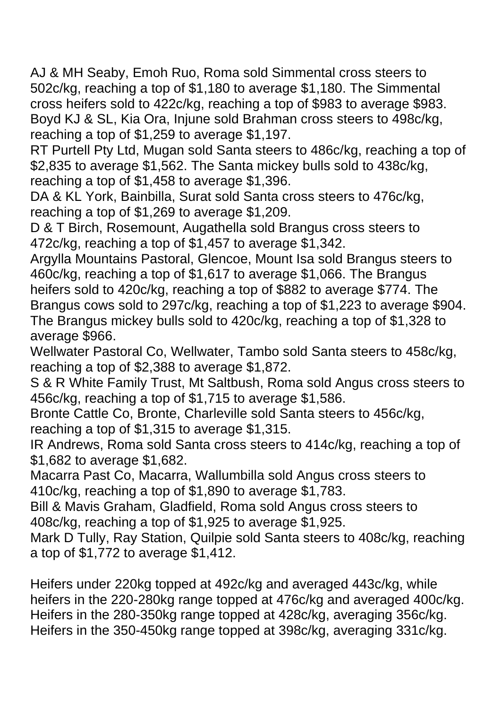AJ & MH Seaby, Emoh Ruo, Roma sold Simmental cross steers to 502c/kg, reaching a top of \$1,180 to average \$1,180. The Simmental cross heifers sold to 422c/kg, reaching a top of \$983 to average \$983. Boyd KJ & SL, Kia Ora, Injune sold Brahman cross steers to 498c/kg, reaching a top of \$1,259 to average \$1,197.

RT Purtell Pty Ltd, Mugan sold Santa steers to 486c/kg, reaching a top of \$2,835 to average \$1,562. The Santa mickey bulls sold to 438c/kg, reaching a top of \$1,458 to average \$1,396.

DA & KL York, Bainbilla, Surat sold Santa cross steers to 476c/kg, reaching a top of \$1,269 to average \$1,209.

D & T Birch, Rosemount, Augathella sold Brangus cross steers to 472c/kg, reaching a top of \$1,457 to average \$1,342.

Argylla Mountains Pastoral, Glencoe, Mount Isa sold Brangus steers to 460c/kg, reaching a top of \$1,617 to average \$1,066. The Brangus heifers sold to 420c/kg, reaching a top of \$882 to average \$774. The Brangus cows sold to 297c/kg, reaching a top of \$1,223 to average \$904. The Brangus mickey bulls sold to 420c/kg, reaching a top of \$1,328 to average \$966.

Wellwater Pastoral Co, Wellwater, Tambo sold Santa steers to 458c/kg, reaching a top of \$2,388 to average \$1,872.

S & R White Family Trust, Mt Saltbush, Roma sold Angus cross steers to 456c/kg, reaching a top of \$1,715 to average \$1,586.

Bronte Cattle Co, Bronte, Charleville sold Santa steers to 456c/kg, reaching a top of \$1,315 to average \$1,315.

IR Andrews, Roma sold Santa cross steers to 414c/kg, reaching a top of \$1,682 to average \$1,682.

Macarra Past Co, Macarra, Wallumbilla sold Angus cross steers to 410c/kg, reaching a top of \$1,890 to average \$1,783.

Bill & Mavis Graham, Gladfield, Roma sold Angus cross steers to 408c/kg, reaching a top of \$1,925 to average \$1,925.

Mark D Tully, Ray Station, Quilpie sold Santa steers to 408c/kg, reaching a top of \$1,772 to average \$1,412.

Heifers under 220kg topped at 492c/kg and averaged 443c/kg, while heifers in the 220-280kg range topped at 476c/kg and averaged 400c/kg. Heifers in the 280-350kg range topped at 428c/kg, averaging 356c/kg. Heifers in the 350-450kg range topped at 398c/kg, averaging 331c/kg.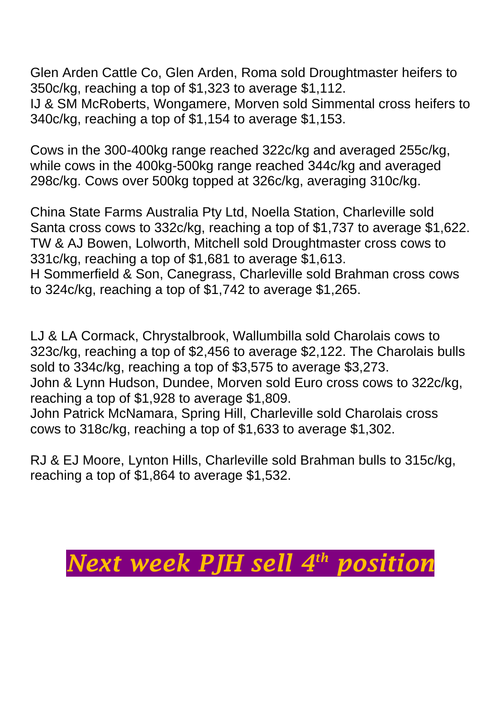Glen Arden Cattle Co, Glen Arden, Roma sold Droughtmaster heifers to 350c/kg, reaching a top of \$1,323 to average \$1,112. IJ & SM McRoberts, Wongamere, Morven sold Simmental cross heifers to 340c/kg, reaching a top of \$1,154 to average \$1,153.

Cows in the 300-400kg range reached 322c/kg and averaged 255c/kg, while cows in the 400kg-500kg range reached 344c/kg and averaged 298c/kg. Cows over 500kg topped at 326c/kg, averaging 310c/kg.

China State Farms Australia Pty Ltd, Noella Station, Charleville sold Santa cross cows to 332c/kg, reaching a top of \$1,737 to average \$1,622. TW & AJ Bowen, Lolworth, Mitchell sold Droughtmaster cross cows to 331c/kg, reaching a top of \$1,681 to average \$1,613. H Sommerfield & Son, Canegrass, Charleville sold Brahman cross cows to 324c/kg, reaching a top of \$1,742 to average \$1,265.

LJ & LA Cormack, Chrystalbrook, Wallumbilla sold Charolais cows to 323c/kg, reaching a top of \$2,456 to average \$2,122. The Charolais bulls sold to 334c/kg, reaching a top of \$3,575 to average \$3,273. John & Lynn Hudson, Dundee, Morven sold Euro cross cows to 322c/kg, reaching a top of \$1,928 to average \$1,809. John Patrick McNamara, Spring Hill, Charleville sold Charolais cross

cows to 318c/kg, reaching a top of \$1,633 to average \$1,302.

RJ & EJ Moore, Lynton Hills, Charleville sold Brahman bulls to 315c/kg, reaching a top of \$1,864 to average \$1,532.

## *Next week PJH sell 4 th position*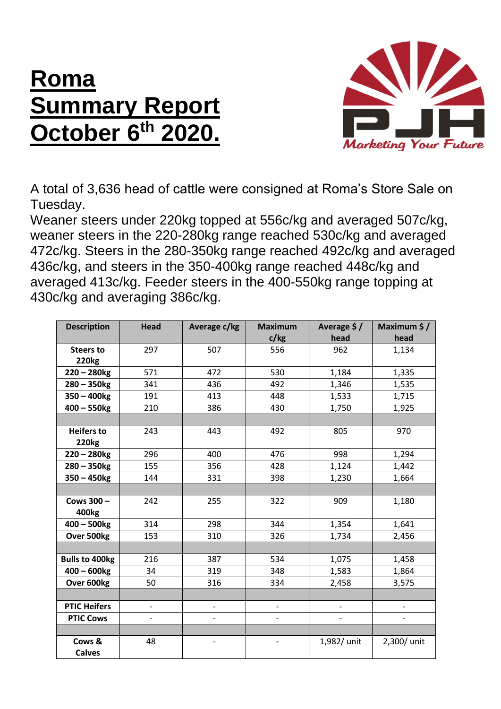## **Roma Summary Report October 6th 2020.**



A total of 3,636 head of cattle were consigned at Roma's Store Sale on Tuesday.

Weaner steers under 220kg topped at 556c/kg and averaged 507c/kg, weaner steers in the 220-280kg range reached 530c/kg and averaged 472c/kg. Steers in the 280-350kg range reached 492c/kg and averaged 436c/kg, and steers in the 350-400kg range reached 448c/kg and averaged 413c/kg. Feeder steers in the 400-550kg range topping at 430c/kg and averaging 386c/kg.

| <b>Description</b>                | <b>Head</b>              | Average c/kg             | <b>Maximum</b><br>c/kg   | Average $$/$<br>head     | Maximum \$/<br>head      |
|-----------------------------------|--------------------------|--------------------------|--------------------------|--------------------------|--------------------------|
| <b>Steers to</b><br><b>220kg</b>  | 297                      | 507                      | 556                      | 962                      | 1,134                    |
| $220 - 280$ kg                    | 571                      | 472                      | 530                      | 1,184                    | 1,335                    |
| $280 - 350$ kg                    | 341                      | 436                      | 492                      | 1,346                    | 1,535                    |
| $350 - 400$ kg                    | 191                      | 413                      | 448                      | 1,533                    | 1,715                    |
| $400 - 550$ kg                    | 210                      | 386                      | 430                      | 1,750                    | 1,925                    |
|                                   |                          |                          |                          |                          |                          |
| <b>Heifers to</b><br><b>220kg</b> | 243                      | 443                      | 492                      | 805                      | 970                      |
| $220 - 280$ kg                    | 296                      | 400                      | 476                      | 998                      | 1,294                    |
| $280 - 350$ kg                    | 155                      | 356                      | 428                      | 1,124                    | 1,442                    |
| $350 - 450$ kg                    | 144                      | 331                      | 398                      | 1,230                    | 1,664                    |
|                                   |                          |                          |                          |                          |                          |
| Cows 300 -<br>400 <sub>kg</sub>   | 242                      | 255                      | 322                      | 909                      | 1,180                    |
| $400 - 500$ kg                    | 314                      | 298                      | 344                      | 1,354                    | 1,641                    |
| Over 500kg                        | 153                      | 310                      | 326                      | 1,734                    | 2,456                    |
|                                   |                          |                          |                          |                          |                          |
| <b>Bulls to 400kg</b>             | 216                      | 387                      | 534                      | 1,075                    | 1,458                    |
| $400 - 600$ kg                    | 34                       | 319                      | 348                      | 1,583                    | 1,864                    |
| Over 600kg                        | 50                       | 316                      | 334                      | 2,458                    | 3,575                    |
|                                   |                          |                          |                          |                          |                          |
| <b>PTIC Heifers</b>               | $\overline{\phantom{a}}$ | $\qquad \qquad -$        | $\overline{\phantom{0}}$ | $\overline{\phantom{a}}$ | $\overline{\phantom{a}}$ |
| <b>PTIC Cows</b>                  |                          | $\overline{\phantom{0}}$ | $\overline{a}$           |                          |                          |
|                                   |                          |                          |                          |                          |                          |
| Cows &<br><b>Calves</b>           | 48                       |                          |                          | 1,982/ unit              | 2,300/ unit              |